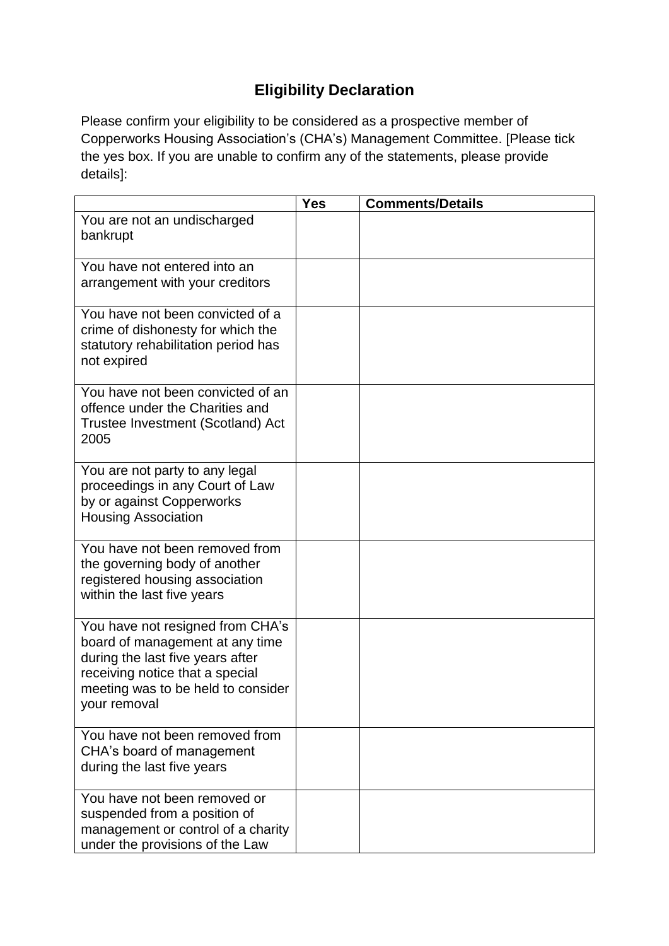## **Eligibility Declaration**

Please confirm your eligibility to be considered as a prospective member of Copperworks Housing Association's (CHA's) Management Committee. [Please tick the yes box. If you are unable to confirm any of the statements, please provide details]:

|                                                                                                                                                                                                  | <b>Yes</b> | <b>Comments/Details</b> |
|--------------------------------------------------------------------------------------------------------------------------------------------------------------------------------------------------|------------|-------------------------|
| You are not an undischarged<br>bankrupt                                                                                                                                                          |            |                         |
|                                                                                                                                                                                                  |            |                         |
| You have not entered into an<br>arrangement with your creditors                                                                                                                                  |            |                         |
| You have not been convicted of a<br>crime of dishonesty for which the<br>statutory rehabilitation period has<br>not expired                                                                      |            |                         |
| You have not been convicted of an<br>offence under the Charities and<br>Trustee Investment (Scotland) Act<br>2005                                                                                |            |                         |
| You are not party to any legal<br>proceedings in any Court of Law<br>by or against Copperworks<br><b>Housing Association</b>                                                                     |            |                         |
| You have not been removed from<br>the governing body of another<br>registered housing association<br>within the last five years                                                                  |            |                         |
| You have not resigned from CHA's<br>board of management at any time<br>during the last five years after<br>receiving notice that a special<br>meeting was to be held to consider<br>your removal |            |                         |
| You have not been removed from<br>CHA's board of management<br>during the last five years                                                                                                        |            |                         |
| You have not been removed or<br>suspended from a position of<br>management or control of a charity<br>under the provisions of the Law                                                            |            |                         |